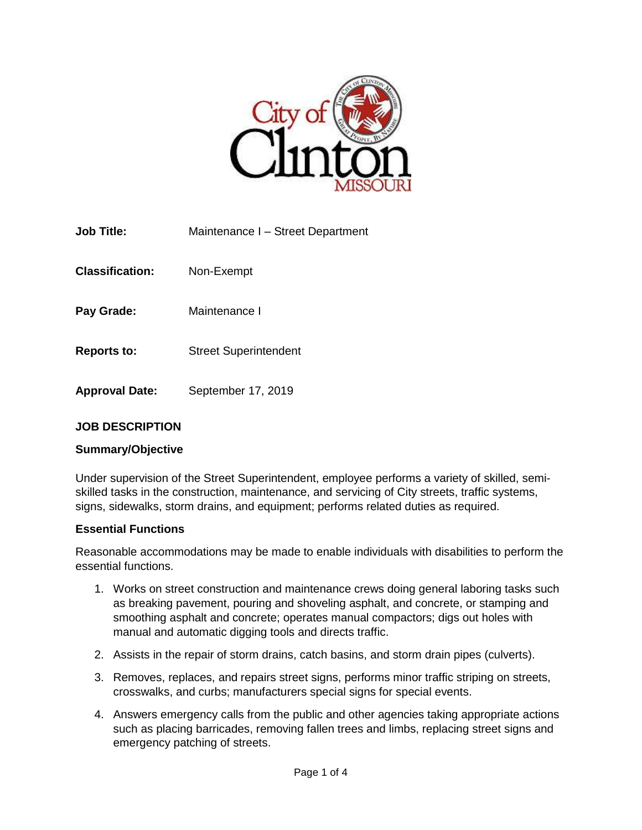

| <b>Job Title:</b>      | Maintenance I - Street Department |
|------------------------|-----------------------------------|
| <b>Classification:</b> | Non-Exempt                        |
| Pay Grade:             | Maintenance I                     |
| <b>Reports to:</b>     | <b>Street Superintendent</b>      |
| <b>Approval Date:</b>  | September 17, 2019                |

# **JOB DESCRIPTION**

### **Summary/Objective**

Under supervision of the Street Superintendent, employee performs a variety of skilled, semiskilled tasks in the construction, maintenance, and servicing of City streets, traffic systems, signs, sidewalks, storm drains, and equipment; performs related duties as required.

#### **Essential Functions**

Reasonable accommodations may be made to enable individuals with disabilities to perform the essential functions.

- 1. Works on street construction and maintenance crews doing general laboring tasks such as breaking pavement, pouring and shoveling asphalt, and concrete, or stamping and smoothing asphalt and concrete; operates manual compactors; digs out holes with manual and automatic digging tools and directs traffic.
- 2. Assists in the repair of storm drains, catch basins, and storm drain pipes (culverts).
- 3. Removes, replaces, and repairs street signs, performs minor traffic striping on streets, crosswalks, and curbs; manufacturers special signs for special events.
- 4. Answers emergency calls from the public and other agencies taking appropriate actions such as placing barricades, removing fallen trees and limbs, replacing street signs and emergency patching of streets.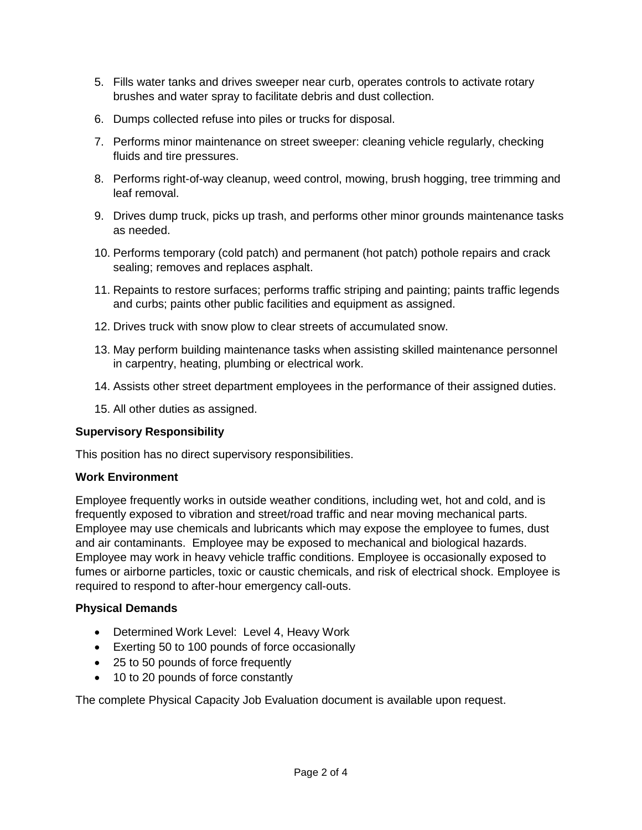- 5. Fills water tanks and drives sweeper near curb, operates controls to activate rotary brushes and water spray to facilitate debris and dust collection.
- 6. Dumps collected refuse into piles or trucks for disposal.
- 7. Performs minor maintenance on street sweeper: cleaning vehicle regularly, checking fluids and tire pressures.
- 8. Performs right-of-way cleanup, weed control, mowing, brush hogging, tree trimming and leaf removal.
- 9. Drives dump truck, picks up trash, and performs other minor grounds maintenance tasks as needed.
- 10. Performs temporary (cold patch) and permanent (hot patch) pothole repairs and crack sealing; removes and replaces asphalt.
- 11. Repaints to restore surfaces; performs traffic striping and painting; paints traffic legends and curbs; paints other public facilities and equipment as assigned.
- 12. Drives truck with snow plow to clear streets of accumulated snow.
- 13. May perform building maintenance tasks when assisting skilled maintenance personnel in carpentry, heating, plumbing or electrical work.
- 14. Assists other street department employees in the performance of their assigned duties.
- 15. All other duties as assigned.

# **Supervisory Responsibility**

This position has no direct supervisory responsibilities.

### **Work Environment**

Employee frequently works in outside weather conditions, including wet, hot and cold, and is frequently exposed to vibration and street/road traffic and near moving mechanical parts. Employee may use chemicals and lubricants which may expose the employee to fumes, dust and air contaminants. Employee may be exposed to mechanical and biological hazards. Employee may work in heavy vehicle traffic conditions. Employee is occasionally exposed to fumes or airborne particles, toxic or caustic chemicals, and risk of electrical shock. Employee is required to respond to after-hour emergency call-outs.

# **Physical Demands**

- Determined Work Level: Level 4, Heavy Work
- Exerting 50 to 100 pounds of force occasionally
- 25 to 50 pounds of force frequently
- 10 to 20 pounds of force constantly

The complete Physical Capacity Job Evaluation document is available upon request.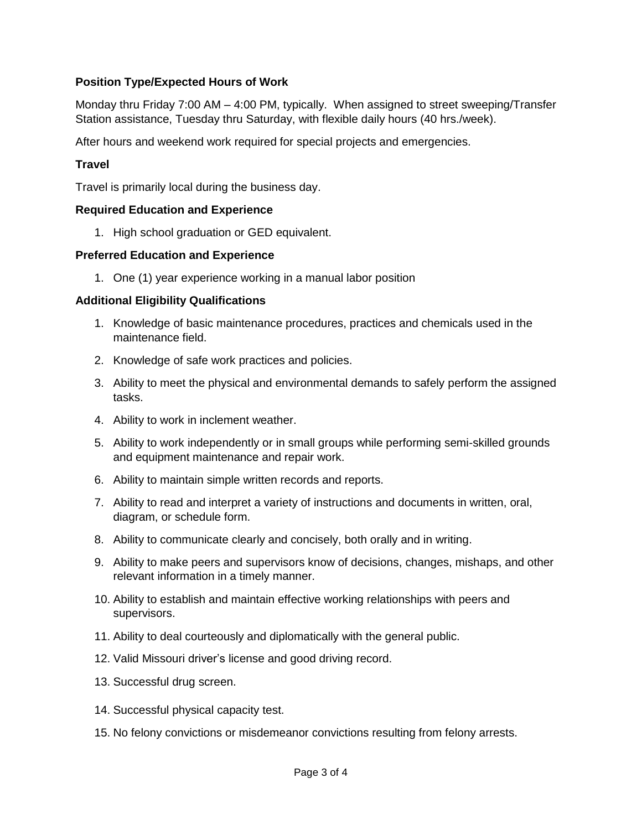# **Position Type/Expected Hours of Work**

Monday thru Friday 7:00 AM – 4:00 PM, typically. When assigned to street sweeping/Transfer Station assistance, Tuesday thru Saturday, with flexible daily hours (40 hrs./week).

After hours and weekend work required for special projects and emergencies.

### **Travel**

Travel is primarily local during the business day.

### **Required Education and Experience**

1. High school graduation or GED equivalent.

### **Preferred Education and Experience**

1. One (1) year experience working in a manual labor position

### **Additional Eligibility Qualifications**

- 1. Knowledge of basic maintenance procedures, practices and chemicals used in the maintenance field.
- 2. Knowledge of safe work practices and policies.
- 3. Ability to meet the physical and environmental demands to safely perform the assigned tasks.
- 4. Ability to work in inclement weather.
- 5. Ability to work independently or in small groups while performing semi-skilled grounds and equipment maintenance and repair work.
- 6. Ability to maintain simple written records and reports.
- 7. Ability to read and interpret a variety of instructions and documents in written, oral, diagram, or schedule form.
- 8. Ability to communicate clearly and concisely, both orally and in writing.
- 9. Ability to make peers and supervisors know of decisions, changes, mishaps, and other relevant information in a timely manner.
- 10. Ability to establish and maintain effective working relationships with peers and supervisors.
- 11. Ability to deal courteously and diplomatically with the general public.
- 12. Valid Missouri driver's license and good driving record.
- 13. Successful drug screen.
- 14. Successful physical capacity test.
- 15. No felony convictions or misdemeanor convictions resulting from felony arrests.